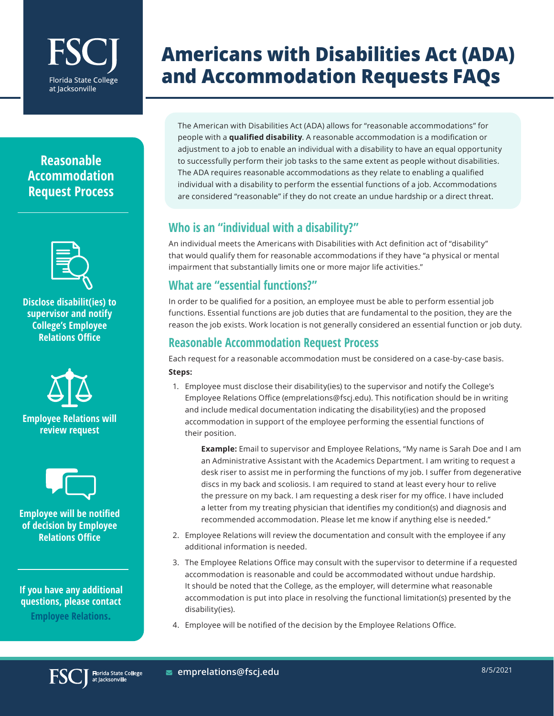# **Florida State College** at lacksonville

## **Americans with Disabilities Act (ADA) and Accommodation Requests FAQs**

### **Reasonable Accommodation Request Process**



**Disclose disabilit(ies) to supervisor and notify College's Employee Relations Office**





**Employee will be notified of decision by Employee Relations Office**

**If you have any additional questions, please contact [Employee Relations](mailto:emprelations%40fscj.edu?subject=).**

The American with Disabilities Act (ADA) allows for "reasonable accommodations" for people with a **qualified disability**. A reasonable accommodation is a modification or adjustment to a job to enable an individual with a disability to have an equal opportunity to successfully perform their job tasks to the same extent as people without disabilities. The ADA requires reasonable accommodations as they relate to enabling a qualified individual with a disability to perform the essential functions of a job. Accommodations are considered "reasonable" if they do not create an undue hardship or a direct threat.

#### **Who is an "individual with a disability?"**

An individual meets the Americans with Disabilities with Act definition act of "disability" that would qualify them for reasonable accommodations if they have "a physical or mental impairment that substantially limits one or more major life activities."

### **What are "essential functions?"**

In order to be qualified for a position, an employee must be able to perform essential job functions. Essential functions are job duties that are fundamental to the position, they are the reason the job exists. Work location is not generally considered an essential function or job duty.

#### **Reasonable Accommodation Request Process**

Each request for a reasonable accommodation must be considered on a case-by-case basis. **Steps:**

1. Employee must disclose their disability(ies) to the supervisor and notify the College's Employee Relations Office (emprelations@fscj.edu). This notification should be in writing and include medical documentation indicating the disability(ies) and the proposed accommodation in support of the employee performing the essential functions of their position.

**Example:** Email to supervisor and Employee Relations, "My name is Sarah Doe and I am an Administrative Assistant with the Academics Department. I am writing to request a desk riser to assist me in performing the functions of my job. I suffer from degenerative discs in my back and scoliosis. I am required to stand at least every hour to relive the pressure on my back. I am requesting a desk riser for my office. I have included a letter from my treating physician that identifies my condition(s) and diagnosis and recommended accommodation. Please let me know if anything else is needed."

- 2. Employee Relations will review the documentation and consult with the employee if any additional information is needed.
- 3. The Employee Relations Office may consult with the supervisor to determine if a requested accommodation is reasonable and could be accommodated without undue hardship. It should be noted that the College, as the employer, will determine what reasonable accommodation is put into place in resolving the functional limitation(s) presented by the disability(ies).
- 4. Employee will be notified of the decision by the Employee Relations Office.